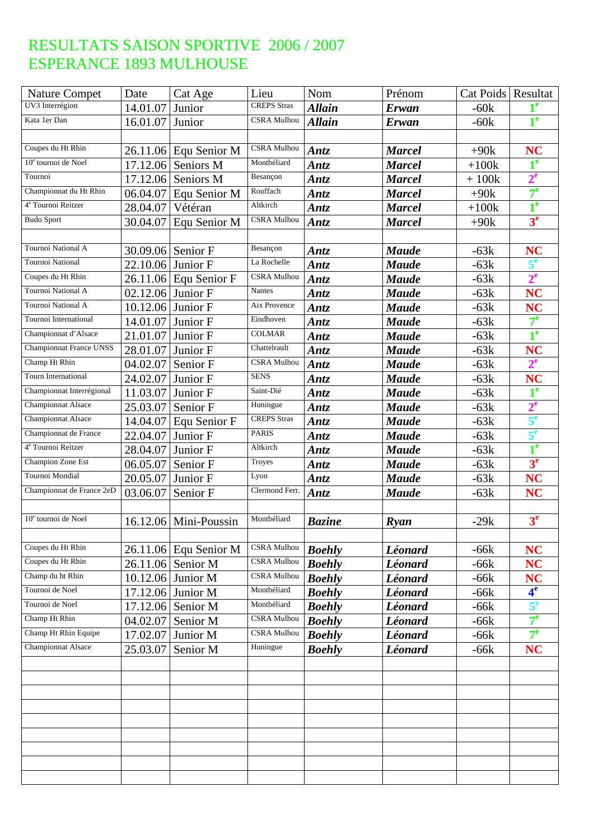| <b>Nature Compet</b>            | Date              | Cat Age                 | Lieu               | Nom           | Prénom        | Cat Poids   Resultat |                  |
|---------------------------------|-------------------|-------------------------|--------------------|---------------|---------------|----------------------|------------------|
| UV3 Interrégion                 | 14.01.07          | Junior                  | <b>CREPS</b> Stras | <b>Allain</b> | Erwan         | $-60k$               | 1 <sup>e</sup>   |
| Kata 1er Dan                    | 16.01.07          | Junior                  | <b>CSRA Mulhou</b> | <b>Allain</b> | <b>Erwan</b>  | $-60k$               | 1 <sup>e</sup>   |
|                                 |                   |                         |                    |               |               |                      |                  |
| Coupes du Ht Rhin               |                   | 26.11.06 Equ Senior M   | CSRA Mulhou        | Antz          | <b>Marcel</b> | $+90k$               | <b>NC</b>        |
| 10 <sup>e</sup> tournoi de Noel | 17.12.06          | Seniors M               | Montbéliard        | Antz          | <b>Marcel</b> | $+100k$              | $\overline{1}^e$ |
| Tournoi                         | 17.12.06          | Seniors M               | Besançon           | <b>Antz</b>   | <b>Marcel</b> | $+100k$              | $2^e$            |
| Championnat du Ht Rhin          | 06.04.07          | Equ Senior M            | Rouffach           | <b>Antz</b>   | <b>Marcel</b> | $+90k$               | 7 <sup>e</sup>   |
| 4 <sup>e</sup> Tournoi Reitzer  | 28.04.07          | Vétéran                 | Altkirch           | Antz          | <b>Marcel</b> | $+100k$              | $1^e$            |
| <b>Budo Sport</b>               | 30.04.07          | Equ Senior M            | CSRA Mulhou        | <b>Antz</b>   | <b>Marcel</b> | $+90k$               | 3 <sup>e</sup>   |
|                                 |                   |                         |                    |               |               |                      |                  |
| Tournoi National A              | 30.09.06 Senior F |                         | Besançon           | <b>Antz</b>   | <b>Maude</b>  | $-63k$               | <b>NC</b>        |
| Tournoi National                | 22.10.06 Junior F |                         | La Rochelle        | <b>Antz</b>   | <b>Maude</b>  | $-63k$               | 5 <sup>e</sup>   |
| Coupes du Ht Rhin               |                   | $26.11.06$ Equ Senior F | CSRA Mulhou        | <b>Antz</b>   | <b>Maude</b>  | $-63k$               | $2^{\mathrm{e}}$ |
| Tournoi National A              | 02.12.06 Junior F |                         | <b>Nantes</b>      | Antz          | <b>Maude</b>  | $-63k$               | <b>NC</b>        |
| Tournoi National A              | 10.12.06 Junior F |                         | Aix Provence       | <b>Antz</b>   | <b>Maude</b>  | $-63k$               | <b>NC</b>        |
| Tournoi International           | 14.01.07          | Junior F                | Eindhoven          | <b>Antz</b>   | <b>Maude</b>  | $-63k$               | $7^e$            |
| Championnat d'Alsace            | 21.01.07          | Junior F                | <b>COLMAR</b>      | Antz          | <b>Maude</b>  | $-63k$               | 1 <sup>e</sup>   |
| <b>Championnat France UNSS</b>  | 28.01.07          | Junior F                | Chattelrault       | Antz          | <b>Maude</b>  | $-63k$               | <b>NC</b>        |
| Champ Ht Rhin                   | 04.02.07          | Senior F                | <b>CSRA Mulhou</b> | Antz          | <b>Maude</b>  | $-63k$               | $2^e$            |
| <b>Tourn International</b>      | 24.02.07          | Junior F                | <b>SENS</b>        | <b>Antz</b>   | <b>Maude</b>  | $-63k$               | <b>NC</b>        |
| Championnat Interrégional       | 11.03.07          | Junior F                | Saint-Dié          | <b>Antz</b>   | <b>Maude</b>  | $-63k$               | $1^e$            |
| <b>Championnat Alsace</b>       | 25.03.07          | Senior F                | Huningue           | <b>Antz</b>   | <b>Maude</b>  | $-63k$               | $2^e$            |
| <b>Championnat Alsace</b>       | 14.04.07          | Equ Senior F            | <b>CREPS</b> Stras | <b>Antz</b>   | <b>Maude</b>  | $-63k$               | 5 <sup>e</sup>   |
| Championnat de France           | 22.04.07          | Junior F                | <b>PARIS</b>       | <b>Antz</b>   | <b>Maude</b>  | $-63k$               | 5 <sup>e</sup>   |
| 4 <sup>e</sup> Tournoi Reitzer  | 28.04.07          | Junior F                | Altkirch           | <b>Antz</b>   | <b>Maude</b>  | $-63k$               | 1 <sup>e</sup>   |
| Champion Zone Est               | 06.05.07          | Senior F                | Troyes             | <b>Antz</b>   | <b>Maude</b>  | $-63k$               | 3 <sup>e</sup>   |
| Tournoi Mondial                 | 20.05.07          | Junior F                | Lyon               | Antz          | <b>Maude</b>  | $-63k$               | <b>NC</b>        |
| Championnat de France 2eD       | 03.06.07          | Senior F                | Clermond Ferr.     | Antz          | <b>Maude</b>  | $-63k$               | <b>NC</b>        |
|                                 |                   |                         |                    |               |               |                      |                  |
| 10 <sup>e</sup> tournoi de Noel |                   | $16.12.06$ Mini-Poussin | Montbéliard        | <b>Bazine</b> | <b>Ryan</b>   | $-29k$               | 3 <sup>e</sup>   |
|                                 |                   |                         |                    |               |               |                      |                  |
| Coupes du Ht Rhin               |                   | 26.11.06 Equ Senior M   | <b>CSRA</b> Mulhou | <b>Boehly</b> | Léonard       | $-66k$               | <b>NC</b>        |
| Coupes du Ht Rhin               |                   | 26.11.06 Senior M       | CSRA Mulhou        | <b>Boehly</b> | Léonard       | $-66k$               | <b>NC</b>        |
| Champ du ht Rhin                |                   | 10.12.06 Junior M       | <b>CSRA Mulhou</b> | <b>Boehly</b> | Léonard       | $-66k$               | <b>NC</b>        |
| Tournoi de Noel                 |                   | 17.12.06 Junior M       | Montbéliard        | <b>Boehly</b> | Léonard       | $-66k$               | 4 <sup>e</sup>   |
| Tournoi de Noel                 |                   | 17.12.06 Senior M       | Montbéliard        | <b>Boehly</b> | Léonard       | $-66k$               | $5^e$            |
| Champ Ht Rhin                   | 04.02.07          | Senior M                | CSRA Mulhou        | <b>Boehly</b> | Léonard       | $-66k$               | $7^e$            |
| Champ Ht Rhin Equipe            |                   | 17.02.07 Junior M       | CSRA Mulhou        | <b>Boehly</b> | Léonard       | $-66k$               | $7^e$            |
| <b>Championnat Alsace</b>       | 25.03.07          | Senior M                | Huningue           | <b>Boehly</b> | Léonard       | $-66k$               | NC               |
|                                 |                   |                         |                    |               |               |                      |                  |
|                                 |                   |                         |                    |               |               |                      |                  |
|                                 |                   |                         |                    |               |               |                      |                  |
|                                 |                   |                         |                    |               |               |                      |                  |
|                                 |                   |                         |                    |               |               |                      |                  |
|                                 |                   |                         |                    |               |               |                      |                  |
|                                 |                   |                         |                    |               |               |                      |                  |
|                                 |                   |                         |                    |               |               |                      |                  |
|                                 |                   |                         |                    |               |               |                      |                  |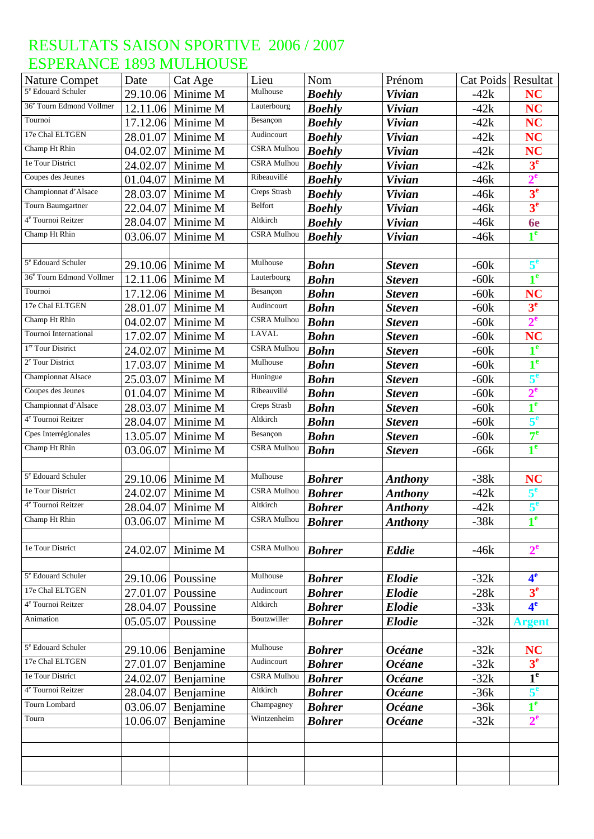| <b>Nature Compet</b>                 | Date     | Cat Age              | Lieu                 | Nom           | Prénom               | Cat Poids   Resultat |                   |
|--------------------------------------|----------|----------------------|----------------------|---------------|----------------------|----------------------|-------------------|
| 5 <sup>e</sup> Edouard Schuler       | 29.10.06 | Minime M             | Mulhouse             | <b>Boehly</b> | <b>Vivian</b>        | $-42k$               | <b>NC</b>         |
| 36 <sup>e</sup> Tourn Edmond Vollmer | 12.11.06 | Minime M             | Lauterbourg          | <b>Boehly</b> | <b>Vivian</b>        | $-42k$               | <b>NC</b>         |
| Tournoi                              | 17.12.06 | Minime M             | Besançon             | <b>Boehly</b> | <b>Vivian</b>        | $-42k$               | <b>NC</b>         |
| 17e Chal ELTGEN                      | 28.01.07 | Minime M             | Audincourt           | <b>Boehly</b> | <b>Vivian</b>        | $-42k$               | <b>NC</b>         |
| Champ Ht Rhin                        | 04.02.07 | Minime M             | <b>CSRA</b> Mulhou   | <b>Boehly</b> | <b>Vivian</b>        | $-42k$               | <b>NC</b>         |
| le Tour District                     | 24.02.07 | Minime M             | <b>CSRA</b> Mulhou   | <b>Boehly</b> | <b>Vivian</b>        | $-42k$               | 3 <sup>e</sup>    |
| Coupes des Jeunes                    | 01.04.07 | Minime M             | Ribeauvillé          | <b>Boehly</b> | <b>Vivian</b>        | $-46k$               | $2^e$             |
| Championnat d'Alsace                 | 28.03.07 | Minime M             | Creps Strasb         | <b>Boehly</b> | <b>Vivian</b>        | -46k                 | 3 <sup>e</sup>    |
| <b>Tourn Baumgartner</b>             | 22.04.07 | Minime M             | Belfort              | <b>Boehly</b> | <b>Vivian</b>        | $-46k$               | 3 <sup>e</sup>    |
| 4 <sup>e</sup> Tournoi Reitzer       | 28.04.07 | Minime M             | Altkirch             | <b>Boehly</b> | <b>Vivian</b>        | -46k                 | <b>6e</b>         |
| Champ Ht Rhin                        | 03.06.07 | Minime M             | <b>CSRA Mulhou</b>   | <b>Boehly</b> | <b>Vivian</b>        | $-46k$               | 1 <sup>e</sup>    |
|                                      |          |                      |                      |               |                      |                      |                   |
| 5 <sup>e</sup> Edouard Schuler       | 29.10.06 | Minime M             | Mulhouse             | <b>Bohn</b>   | <b>Steven</b>        | $-60k$               | 5 <sup>e</sup>    |
| 36 <sup>e</sup> Tourn Edmond Vollmer | 12.11.06 | Minime M             | Lauterbourg          | <b>Bohn</b>   | <b>Steven</b>        | $-60k$               | 1 <sup>e</sup>    |
| Tournoi                              |          | 17.12.06 Minime M    | Besançon             | <b>Bohn</b>   | <b>Steven</b>        | $-60k$               | <b>NC</b>         |
| 17e Chal ELTGEN                      | 28.01.07 | Minime M             | Audincourt           | <b>Bohn</b>   | <b>Steven</b>        | $-60k$               | 3 <sup>e</sup>    |
| Champ Ht Rhin                        | 04.02.07 | Minime M             | <b>CSRA</b> Mulhou   | <b>Bohn</b>   | <b>Steven</b>        | $-60k$               | $2^e$             |
| Tournoi International                | 17.02.07 | Minime M             | <b>LAVAL</b>         | <b>Bohn</b>   | <b>Steven</b>        | $-60k$               | <b>NC</b>         |
| 1 <sup>er</sup> Tour District        | 24.02.07 | Minime M             | <b>CSRA Mulhou</b>   | <b>Bohn</b>   | <b>Steven</b>        | $-60k$               | 1 <sup>e</sup>    |
| 2 <sup>e</sup> Tour District         | 17.03.07 | Minime M             | Mulhouse             | <b>Bohn</b>   | <b>Steven</b>        | $-60k$               | 1 <sup>e</sup>    |
| Championnat Alsace                   | 25.03.07 | Minime M             | Huningue             | <b>Bohn</b>   | <b>Steven</b>        | $-60k$               | $5^e$             |
| Coupes des Jeunes                    | 01.04.07 | Minime M             | Ribeauvillé          | <b>Bohn</b>   | <b>Steven</b>        | $-60k$               | $2^e$             |
| Championnat d'Alsace                 | 28.03.07 | Minime M             | <b>Creps Strasb</b>  | <b>Bohn</b>   | <b>Steven</b>        | $-60k$               | 1 <sup>e</sup>    |
| 4 <sup>e</sup> Tournoi Reitzer       | 28.04.07 | Minime M             | Altkirch             | <b>Bohn</b>   | <b>Steven</b>        | $-60k$               | 5 <sup>e</sup>    |
| Cpes Interrégionales                 | 13.05.07 | Minime M             | Besançon             | <b>Bohn</b>   | <b>Steven</b>        | $-60k$               | $7^{\circ}$       |
| Champ Ht Rhin                        | 03.06.07 | Minime M             | <b>CSRA Mulhou</b>   | <b>Bohn</b>   | <b>Steven</b>        | $-66k$               | 1 <sup>e</sup>    |
|                                      |          |                      |                      |               |                      |                      |                   |
| 5 <sup>e</sup> Edouard Schuler       | 29.10.06 | Minime M             | Mulhouse             | <b>Bohrer</b> | <b>Anthony</b>       | $-38k$               | <b>NC</b>         |
| 1e Tour District                     | 24.02.07 | Minime M             | <b>CSRA Mulhou</b>   | <b>Bohrer</b> | <b>Anthony</b>       | $-42k$               | 5 <sup>e</sup>    |
| 4 <sup>e</sup> Tournoi Reitzer       | 28.04.07 | Minime M             | Altkirch             | <b>Bohrer</b> | <b>Anthony</b>       | $-42k$               | 5 <sup>e</sup>    |
| Champ Ht Rhin                        |          | 03.06.07 Minime M    | CSRA Mulhou   Bohrer |               | <b>Anthony</b>       | $-38k$               | $\triangleleft$ e |
|                                      |          |                      |                      |               |                      |                      |                   |
| 1e Tour District                     | 24.02.07 | Minime M             | <b>CSRA</b> Mulhou   | <b>Bohrer</b> | <b>Eddie</b>         | $-46k$               | $2^e$             |
|                                      |          |                      |                      |               |                      |                      |                   |
| 5 <sup>e</sup> Edouard Schuler       |          | 29.10.06 Poussine    | Mulhouse             | <b>Bohrer</b> | <b>Elodie</b>        | $-32k$               | 4 <sup>e</sup>    |
| 17e Chal ELTGEN                      | 27.01.07 | Poussine             | Audincourt           | <b>Bohrer</b> | <b>Elodie</b>        | $-28k$               | 3 <sup>e</sup>    |
| 4 <sup>e</sup> Tournoi Reitzer       | 28.04.07 | Poussine             | Altkirch             | <b>Bohrer</b> | <b>Elodie</b>        | $-33k$               | 4 <sup>e</sup>    |
| Animation                            | 05.05.07 | Poussine             | Boutzwiller          | <b>Bohrer</b> | <b>Elodie</b>        | $-32k$               | <b>Argent</b>     |
|                                      |          |                      |                      |               |                      |                      |                   |
| 5 <sup>e</sup> Edouard Schuler       |          | $29.10.06$ Benjamine | Mulhouse             | <b>Bohrer</b> | <b>Océane</b>        | $-32k$               | <b>NC</b>         |
| 17e Chal ELTGEN                      | 27.01.07 | Benjamine            | Audincourt           | <b>Bohrer</b> | <b>Océane</b>        | $-32k$               | 3 <sup>e</sup>    |
| 1e Tour District                     | 24.02.07 | Benjamine            | <b>CSRA</b> Mulhou   | <b>Bohrer</b> | <i><b>Océane</b></i> | $-32k$               | 1 <sup>e</sup>    |
| 4 <sup>e</sup> Tournoi Reitzer       | 28.04.07 | Benjamine            | Altkirch             | <b>Bohrer</b> | <b>Océane</b>        | $-36k$               | 5 <sup>e</sup>    |
| Tourn Lombard                        | 03.06.07 | Benjamine            | Champagney           | <b>Bohrer</b> | <b>Océane</b>        | $-36k$               | 1 <sup>e</sup>    |
| Tourn                                | 10.06.07 | Benjamine            | Wintzenheim          | <b>Bohrer</b> | <b>Océane</b>        | $-32k$               | $2^e$             |
|                                      |          |                      |                      |               |                      |                      |                   |
|                                      |          |                      |                      |               |                      |                      |                   |
|                                      |          |                      |                      |               |                      |                      |                   |
|                                      |          |                      |                      |               |                      |                      |                   |
|                                      |          |                      |                      |               |                      |                      |                   |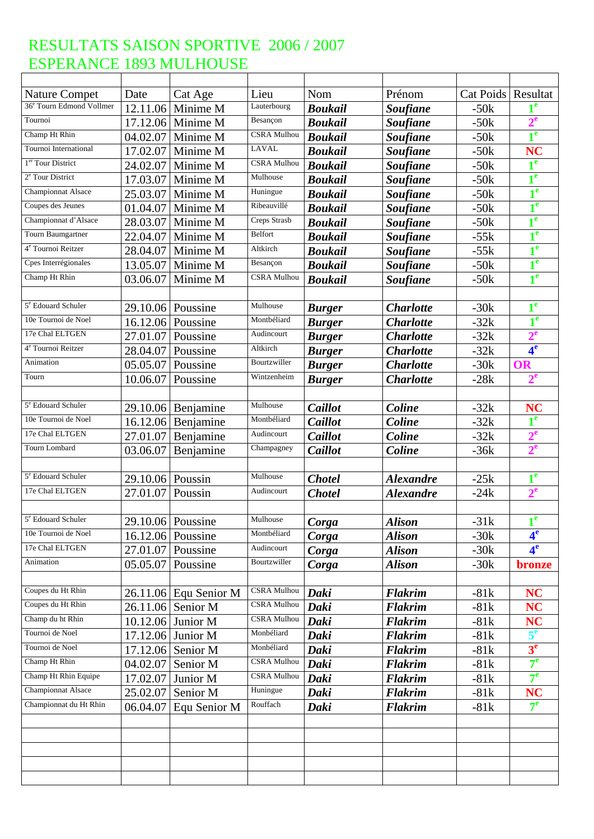| <b>Nature Compet</b>                 | Date             | Cat Age               | Lieu                              | Nom            | Prénom           | Cat Poids   Resultat |                  |
|--------------------------------------|------------------|-----------------------|-----------------------------------|----------------|------------------|----------------------|------------------|
| 36 <sup>e</sup> Tourn Edmond Vollmer |                  | 12.11.06 Minime M     | Lauterbourg                       | <b>Boukail</b> | <b>Soufiane</b>  | $-50k$               |                  |
| Tournoi                              |                  | 17.12.06 Minime M     | Besançon                          | <b>Boukail</b> | <b>Soufiane</b>  | $-50k$               | $2^e$            |
| Champ Ht Rhin                        | 04.02.07         | Minime M              | <b>CSRA</b> Mulhou                | <b>Boukail</b> | <b>Soufiane</b>  | $-50k$               | 1 <sup>e</sup>   |
| <b>Tournoi International</b>         | 17.02.07         | Minime M              | <b>LAVAL</b>                      | <b>Boukail</b> | <b>Soufiane</b>  | $-50k$               | <b>NC</b>        |
| 1 <sup>er</sup> Tour District        | 24.02.07         | Minime M              | <b>CSRA Mulhou</b>                | <b>Boukail</b> | <b>Soufiane</b>  | $-50k$               | 1 <sup>e</sup>   |
| 2 <sup>e</sup> Tour District         | 17.03.07         | Minime M              | Mulhouse                          | <b>Boukail</b> | <b>Soufiane</b>  | $-50k$               | 1 <sup>e</sup>   |
| Championnat Alsace                   | 25.03.07         | Minime M              | Huningue                          | <b>Boukail</b> | <b>Soufiane</b>  | $-50k$               | 1 <sup>e</sup>   |
| Coupes des Jeunes                    | 01.04.07         | Minime M              | Ribeauvillé                       | <b>Boukail</b> | <b>Soufiane</b>  | $-50k$               | 1 <sup>e</sup>   |
| Championnat d'Alsace                 | 28.03.07         | Minime M              | <b>Creps Strasb</b>               | <b>Boukail</b> | <b>Soufiane</b>  | $-50k$               | 1 <sup>e</sup>   |
| Tourn Baumgartner                    | 22.04.07         | Minime M              | Belfort                           | <b>Boukail</b> | <b>Soufiane</b>  | $-55k$               | 1 <sup>e</sup>   |
| 4 <sup>e</sup> Tournoi Reitzer       | 28.04.07         | Minime M              | Altkirch                          | <b>Boukail</b> | <b>Soufiane</b>  | $-55k$               | 1 <sup>e</sup>   |
| Cpes Interrégionales                 | 13.05.07         | Minime M              | Besançon                          | <b>Boukail</b> | <b>Soufiane</b>  | $-50k$               | 1 <sup>e</sup>   |
| Champ Ht Rhin                        | 03.06.07         | Minime M              | <b>CSRA</b> Mulhou                | <b>Boukail</b> | <b>Soufiane</b>  | $-50k$               | 1 <sup>e</sup>   |
|                                      |                  |                       |                                   |                |                  |                      |                  |
| 5 <sup>e</sup> Edouard Schuler       |                  | 29.10.06 Poussine     | Mulhouse                          | <b>Burger</b>  | <b>Charlotte</b> | $-30k$               | 1 <sup>e</sup>   |
| 10e Tournoi de Noel                  |                  | 16.12.06 Poussine     | Montbéliard                       | <b>Burger</b>  | <b>Charlotte</b> | $-32k$               | 1 <sup>e</sup>   |
| 17e Chal ELTGEN                      | 27.01.07         | Poussine              | Audincourt                        | <b>Burger</b>  | <b>Charlotte</b> | $-32k$               | $2^{\mathrm{e}}$ |
| 4 <sup>e</sup> Tournoi Reitzer       | 28.04.07         | Poussine              | Altkirch                          | <b>Burger</b>  | <b>Charlotte</b> | $-32k$               | 4 <sup>e</sup>   |
| Animation                            | 05.05.07         | Poussine              | Bourtzwiller                      | <b>Burger</b>  | <b>Charlotte</b> | $-30k$               | OR               |
| Tourn                                | 10.06.07         | Poussine              | Wintzenheim                       | <b>Burger</b>  | <b>Charlotte</b> | $-28k$               | $2^{\mathrm{e}}$ |
|                                      |                  |                       |                                   |                |                  |                      |                  |
| 5 <sup>e</sup> Edouard Schuler       |                  | $29.10.06$ Benjamine  | Mulhouse                          | Caillot        | Coline           | $-32k$               | <b>NC</b>        |
| 10e Tournoi de Noel                  | 16.12.06         | Benjamine             | Montbéliard                       | Caillot        | Coline           | $-32k$               | 1 <sup>e</sup>   |
| 17e Chal ELTGEN                      | 27.01.07         | Benjamine             | Audincourt                        | Caillot        | <b>Coline</b>    | $-32k$               | $2^e$            |
| Tourn Lombard                        | 03.06.07         |                       | Champagney                        | Caillot        | <b>Coline</b>    | $-36k$               | 2 <sup>e</sup>   |
|                                      |                  | Benjamine             |                                   |                |                  |                      |                  |
| 5 <sup>e</sup> Edouard Schuler       | 29.10.06 Poussin |                       | Mulhouse                          | <b>Chotel</b>  | <b>Alexandre</b> | $-25k$               | 1 <sup>e</sup>   |
| 17e Chal ELTGEN                      | 27.01.07         |                       | Audincourt                        |                |                  |                      | 2 <sup>e</sup>   |
|                                      |                  | Poussin               |                                   | <b>Chotel</b>  | <b>Alexandre</b> | $-24k$               |                  |
| 5 <sup>e</sup> Edouard Schuler       |                  |                       | Mulhouse                          |                |                  |                      | 1 <sup>e</sup>   |
| 10e Tournoi de Noel                  |                  | $29.10.06$ Poussine   | Montbéliard                       | Corga          | <b>Alison</b>    | $-31k$               | 4 <sup>e</sup>   |
| 17e Chal ELTGEN                      |                  | 16.12.06 Poussine     | Audincourt                        | Corga          | <b>Alison</b>    | $-30k$               | 4 <sup>e</sup>   |
|                                      | 27.01.07         | Poussine              | Bourtzwiller                      | Corga          | <b>Alison</b>    | $-30k$               |                  |
| Animation                            | 05.05.07         | Poussine              |                                   | Corga          | <b>Alison</b>    | $-30k$               | <b>bronze</b>    |
| Coupes du Ht Rhin                    |                  |                       |                                   |                |                  |                      |                  |
| Coupes du Ht Rhin                    |                  | 26.11.06 Equ Senior M | CSRA Mulhou<br><b>CSRA</b> Mulhou | Daki           | <b>Flakrim</b>   | $-81k$               | <b>NC</b>        |
| Champ du ht Rhin                     |                  | 26.11.06 Senior M     | <b>CSRA</b> Mulhou                | Daki           | <b>Flakrim</b>   | $-81k$               | <b>NC</b>        |
| Tournoi de Noel                      |                  | 10.12.06 Junior M     |                                   | Daki           | <b>Flakrim</b>   | $-81k$               | NC               |
|                                      |                  | 17.12.06 Junior M     | Monbéliard                        | Daki           | <b>Flakrim</b>   | $-81k$               | 5 <sup>e</sup>   |
| Tournoi de Noel                      |                  | 17.12.06 Senior M     | Monbéliard                        | Daki           | <b>Flakrim</b>   | $-81k$               | 3 <sup>e</sup>   |
| Champ Ht Rhin                        | 04.02.07         | Senior M              | CSRA Mulhou                       | Daki           | <b>Flakrim</b>   | $-81k$               | $7^{\circ}$      |
| Champ Ht Rhin Equipe                 | 17.02.07         | Junior M              | <b>CSRA Mulhou</b>                | Daki           | <b>Flakrim</b>   | $-81k$               | $7^{\circ}$      |
| <b>Championnat Alsace</b>            | 25.02.07         | Senior M              | Huningue                          | Daki           | <b>Flakrim</b>   | $-81k$               | <b>NC</b>        |
| Championnat du Ht Rhin               | 06.04.07         | Equ Senior M          | Rouffach                          | Daki           | <b>Flakrim</b>   | $-81k$               | 7 <sup>e</sup>   |
|                                      |                  |                       |                                   |                |                  |                      |                  |
|                                      |                  |                       |                                   |                |                  |                      |                  |
|                                      |                  |                       |                                   |                |                  |                      |                  |
|                                      |                  |                       |                                   |                |                  |                      |                  |
|                                      |                  |                       |                                   |                |                  |                      |                  |
|                                      |                  |                       |                                   |                |                  |                      |                  |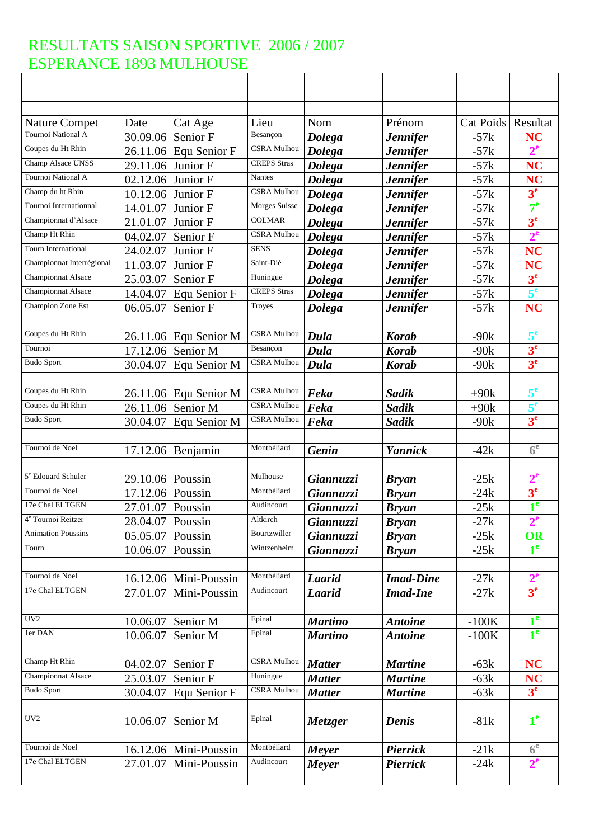| <b>Nature Compet</b>           | Date               | Cat Age                 | Lieu                 | Nom              | Prénom           | Cat Poids | Resultat         |
|--------------------------------|--------------------|-------------------------|----------------------|------------------|------------------|-----------|------------------|
| Tournoi National A             | 30.09.06           | Senior F                | Besançon             | <b>Dolega</b>    | <b>Jennifer</b>  | $-57k$    | <b>NC</b>        |
| Coupes du Ht Rhin              |                    | $26.11.06$ Equ Senior F | <b>CSRA</b> Mulhou   | <b>Dolega</b>    | <b>Jennifer</b>  | $-57k$    | $2^e$            |
| Champ Alsace UNSS              | 29.11.06           | Junior F                | <b>CREPS</b> Stras   | <b>Dolega</b>    | <b>Jennifer</b>  | $-57k$    | <b>NC</b>        |
| Tournoi National A             | 02.12.06           | Junior F                | <b>Nantes</b>        | <b>Dolega</b>    | <b>Jennifer</b>  | $-57k$    | <b>NC</b>        |
| Champ du ht Rhin               | 10.12.06           | Junior F                | <b>CSRA Mulhou</b>   | <b>Dolega</b>    | <b>Jennifer</b>  | $-57k$    | 3 <sup>e</sup>   |
| Tournoi Internationnal         | 14.01.07           | Junior F                | <b>Morges Suisse</b> | <b>Dolega</b>    | <b>Jennifer</b>  | $-57k$    | 7 <sup>e</sup>   |
| Championnat d'Alsace           | 21.01.07           | Junior F                | <b>COLMAR</b>        | <b>Dolega</b>    | <b>Jennifer</b>  | $-57k$    | 3 <sup>e</sup>   |
| Champ Ht Rhin                  | 04.02.07           | Senior F                | CSRA Mulhou          | <b>Dolega</b>    | <b>Jennifer</b>  | $-57k$    | 2 <sup>e</sup>   |
| Tourn International            | 24.02.07           | Junior F                | <b>SENS</b>          | <b>Dolega</b>    | <b>Jennifer</b>  | $-57k$    | <b>NC</b>        |
| Championnat Interrégional      | 11.03.07           | Junior F                | Saint-Dié            | <b>Dolega</b>    | <b>Jennifer</b>  | $-57k$    | NC               |
| <b>Championnat Alsace</b>      | 25.03.07           | Senior F                | Huningue             | <b>Dolega</b>    | <b>Jennifer</b>  | $-57k$    | 3 <sup>e</sup>   |
| <b>Championnat Alsace</b>      | 14.04.07           | Equ Senior F            | <b>CREPS</b> Stras   | <b>Dolega</b>    | <b>Jennifer</b>  | $-57k$    | 5 <sup>e</sup>   |
| Champion Zone Est              | 06.05.07           | Senior F                | Troyes               | <b>Dolega</b>    | <b>Jennifer</b>  | $-57k$    | <b>NC</b>        |
|                                |                    |                         |                      |                  |                  |           |                  |
| Coupes du Ht Rhin              |                    | 26.11.06 Equ Senior M   | CSRA Mulhou          | Dula             | <b>Korab</b>     | $-90k$    | 5 <sup>e</sup>   |
| Tournoi                        | 17.12.06           | Senior M                | Besançon             | Dula             | <b>Korab</b>     | $-90k$    | 3 <sup>e</sup>   |
| <b>Budo Sport</b>              | 30.04.07           | Equ Senior M            | <b>CSRA Mulhou</b>   | Dula             | <b>Korab</b>     | $-90k$    | 3 <sup>e</sup>   |
|                                |                    |                         |                      |                  |                  |           |                  |
| Coupes du Ht Rhin              | 26.11.06           | Equ Senior M            | <b>CSRA Mulhou</b>   | Feka             | Sadik            | $+90k$    | 5 <sup>e</sup>   |
| Coupes du Ht Rhin              | 26.11.06           | Senior M                | CSRA Mulhou          | Feka             | <b>Sadik</b>     | $+90k$    | 5 <sup>e</sup>   |
| <b>Budo Sport</b>              | 30.04.07           | Equ Senior M            | <b>CSRA Mulhou</b>   | Feka             | <b>Sadik</b>     | $-90k$    | 3 <sup>e</sup>   |
|                                |                    |                         |                      |                  |                  |           |                  |
| Tournoi de Noel                |                    | 17.12.06 Benjamin       | Montbéliard          | <b>Genin</b>     | Yannick          | $-42k$    | 6 <sup>e</sup>   |
|                                |                    |                         |                      |                  |                  |           |                  |
| 5 <sup>e</sup> Edouard Schuler | 29.10.06 Poussin   |                         | Mulhouse             | Giannuzzi        | <b>Bryan</b>     | $-25k$    | $2^{\mathrm{e}}$ |
| Tournoi de Noel                | 17.12.06 Poussin   |                         | Montbéliard          | Giannuzzi        | <b>Bryan</b>     | $-24k$    | 3 <sup>e</sup>   |
| 17e Chal ELTGEN                | 27.01.07           | Poussin                 | Audincourt           | Giannuzzi        | <b>Bryan</b>     | $-25k$    | 1 <sup>e</sup>   |
| 4 <sup>e</sup> Tournoi Reitzer | 28.04.07 Poussin   |                         | Altkirch             | Giannuzzi        | <b>Bryan</b>     | $-27k$    | $2^e$            |
| <b>Animation Poussins</b>      | $05.05.07$ Poussin |                         | Bourtzwiller         | Giannuzzi        | <b>Bryan</b>     | $-25k$    | <b>OR</b>        |
| Tourn                          | 10.06.07           | Poussin                 | Wintzenheim          | <b>Giannuzzi</b> | <b>Bryan</b>     | $-25k$    | 1 <sup>e</sup>   |
|                                |                    |                         |                      |                  |                  |           |                  |
| Tournoi de Noel                |                    | $16.12.06$ Mini-Poussin | Montbéliard          | <b>Laarid</b>    | <b>Imad-Dine</b> | $-27k$    | $2^e$            |
| 17e Chal ELTGEN                | 27.01.07           | Mini-Poussin            | Audincourt           | <b>Laarid</b>    | <b>Imad-Ine</b>  | $-27k$    | 3 <sup>e</sup>   |
|                                |                    |                         |                      |                  |                  |           |                  |
| UV <sub>2</sub>                | 10.06.07           | Senior M                | Epinal               | <b>Martino</b>   | <b>Antoine</b>   | $-100K$   | $1^e$            |
| 1er DAN                        | 10.06.07           | Senior M                | Epinal               | <b>Martino</b>   | <b>Antoine</b>   | $-100K$   | 1 <sup>e</sup>   |
|                                |                    |                         |                      |                  |                  |           |                  |
| Champ Ht Rhin                  | 04.02.07           | Senior F                | <b>CSRA Mulhou</b>   | <b>Matter</b>    | <b>Martine</b>   | $-63k$    | <b>NC</b>        |
| <b>Championnat Alsace</b>      | 25.03.07           | Senior F                | Huningue             | <b>Matter</b>    | <b>Martine</b>   | $-63k$    | <b>NC</b>        |
| <b>Budo Sport</b>              | 30.04.07           | Equ Senior F            | CSRA Mulhou          | <b>Matter</b>    | <b>Martine</b>   | $-63k$    | 3 <sup>e</sup>   |
|                                |                    |                         |                      |                  |                  |           |                  |
| UV <sub>2</sub>                | 10.06.07           | Senior M                | Epinal               | Metzger          | <b>Denis</b>     | $-81k$    | 1 <sup>e</sup>   |
|                                |                    |                         |                      |                  |                  |           |                  |
| Tournoi de Noel                |                    | 16.12.06 Mini-Poussin   | Montbéliard          | Meyer            | <b>Pierrick</b>  | $-21k$    | 6 <sup>e</sup>   |
| 17e Chal ELTGEN                | 27.01.07           | Mini-Poussin            | Audincourt           |                  | <b>Pierrick</b>  |           | $2^e$            |
|                                |                    |                         |                      | Meyer            |                  | $-24k$    |                  |
|                                |                    |                         |                      |                  |                  |           |                  |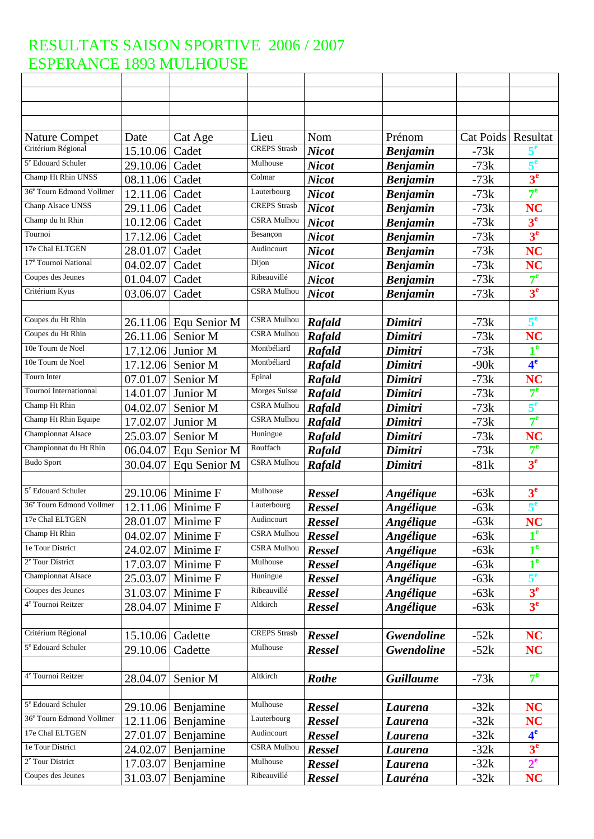| <b>Nature Compet</b>                 | Date     | Cat Age               | Lieu                | Nom           | Prénom           | <b>Cat Poids</b> | Resultat         |
|--------------------------------------|----------|-----------------------|---------------------|---------------|------------------|------------------|------------------|
| Critérium Régional                   | 15.10.06 | Cadet                 | <b>CREPS</b> Strasb | <b>Nicot</b>  | <b>Benjamin</b>  | $-73k$           | $5^{\circ}$      |
| 5 <sup>e</sup> Edouard Schuler       | 29.10.06 | Cadet                 | Mulhouse            | <b>Nicot</b>  | <b>Benjamin</b>  | $-73k$           | $5^e$            |
| Champ Ht Rhin UNSS                   | 08.11.06 | Cadet                 | Colmar              | <b>Nicot</b>  | <b>Benjamin</b>  | $-73k$           | 3 <sup>e</sup>   |
| 36 <sup>e</sup> Tourn Edmond Vollmer | 12.11.06 | Cadet                 | Lauterbourg         | <b>Nicot</b>  | <b>Benjamin</b>  | $-73k$           | $7^{\circ}$      |
| Chanp Alsace UNSS                    | 29.11.06 | Cadet                 | <b>CREPS</b> Strasb | <b>Nicot</b>  | <b>Benjamin</b>  | $-73k$           | NC               |
| Champ du ht Rhin                     | 10.12.06 | Cadet                 | <b>CSRA Mulhou</b>  | <b>Nicot</b>  | <b>Benjamin</b>  | $-73k$           | 3 <sup>e</sup>   |
| Tournoi                              | 17.12.06 | Cadet                 | Besançon            | <b>Nicot</b>  | <b>Benjamin</b>  | $-73k$           | 3 <sup>e</sup>   |
| 17e Chal ELTGEN                      | 28.01.07 | Cadet                 | Audincourt          | <b>Nicot</b>  | <b>Benjamin</b>  | $-73k$           | <b>NC</b>        |
| 17 <sup>e</sup> Tournoi National     | 04.02.07 | Cadet                 | Dijon               | <b>Nicot</b>  | <b>Benjamin</b>  | $-73k$           | <b>NC</b>        |
| Coupes des Jeunes                    | 01.04.07 | Cadet                 | Ribeauvillé         | <b>Nicot</b>  | <b>Benjamin</b>  | $-73k$           | 7 <sup>e</sup>   |
| Critérium Kyus                       | 03.06.07 | Cadet                 | <b>CSRA Mulhou</b>  | <b>Nicot</b>  | <b>Benjamin</b>  | $-73k$           | 3 <sup>e</sup>   |
|                                      |          |                       |                     |               |                  |                  |                  |
| Coupes du Ht Rhin                    |          | 26.11.06 Equ Senior M | <b>CSRA</b> Mulhou  | Rafald        | Dimitri          | $-73k$           | $5^{\mathrm{e}}$ |
| Coupes du Ht Rhin                    | 26.11.06 | Senior M              | CSRA Mulhou         | <b>Rafald</b> | Dimitri          | $-73k$           | <b>NC</b>        |
| 10e Tourn de Noel                    | 17.12.06 | Junior M              | Montbéliard         | Rafald        | Dimitri          | $-73k$           | 1 <sup>e</sup>   |
| 10e Tourn de Noel                    | 17.12.06 | Senior M              | Montbéliard         | Rafald        | Dimitri          | $-90k$           | 4 <sup>e</sup>   |
| Tourn Inter                          | 07.01.07 | Senior M              | Epinal              | Rafald        | Dimitri          | $-73k$           | <b>NC</b>        |
| Tournoi Internationnal               | 14.01.07 | Junior M              | Morges Suisse       | Rafald        | Dimitri          | $-73k$           | $7^{\circ}$      |
| Champ Ht Rhin                        | 04.02.07 | Senior M              | CSRA Mulhou         | Rafald        | Dimitri          | $-73k$           | 5 <sup>e</sup>   |
| Champ Ht Rhin Equipe                 | 17.02.07 | Junior M              | CSRA Mulhou         | Rafald        | Dimitri          | $-73k$           | $7^{\circ}$      |
| <b>Championnat Alsace</b>            | 25.03.07 | Senior M              | Huningue            | Rafald        | Dimitri          | $-73k$           | <b>NC</b>        |
| Championnat du Ht Rhin               | 06.04.07 | Equ Senior M          | Rouffach            | Rafald        | Dimitri          | $-73k$           | 7 <sup>e</sup>   |
| <b>Budo Sport</b>                    | 30.04.07 | Equ Senior M          | <b>CSRA Mulhou</b>  | Rafald        | Dimitri          | $-81k$           | 3 <sup>e</sup>   |
|                                      |          |                       |                     |               |                  |                  |                  |
| 5 <sup>e</sup> Edouard Schuler       | 29.10.06 | Minime F              | Mulhouse            | <b>Ressel</b> | Angélique        | $-63k$           | 3 <sup>e</sup>   |
| 36 <sup>e</sup> Tourn Edmond Vollmer |          | 12.11.06 Minime F     | Lauterbourg         | <b>Ressel</b> | <b>Angélique</b> | $-63k$           | 5 <sup>e</sup>   |
| 17e Chal ELTGEN                      |          | 28.01.07 Minime F     | Audincourt          | Ressel        | Angélique        | $-63k$           | <b>NC</b>        |
| Champ Ht Rhin                        | 04.02.07 | Minime F              | <b>CSRA</b> Mulhou  | <b>Ressel</b> | <b>Angélique</b> | $-63k$           | 1 <sup>e</sup>   |
| le Tour District                     | 24.02.07 | Minime F              | <b>CSRA Mulhou</b>  | <b>Ressel</b> | <b>Angélique</b> | $-63k$           | 1 <sup>e</sup>   |
| 2 <sup>e</sup> Tour District         | 17.03.07 | Minime F              | Mulhouse            | Ressel        | <b>Angélique</b> | $-63k$           | 1 <sup>e</sup>   |
| <b>Championnat Alsace</b>            | 25.03.07 | Minime F              | Huningue            | <b>Ressel</b> | <b>Angélique</b> | $-63k$           | 5 <sup>e</sup>   |
| Coupes des Jeunes                    | 31.03.07 | Minime F              | Ribeauvillé         | Ressel        | <b>Angélique</b> | $-63k$           | 3 <sup>e</sup>   |
| 4 <sup>e</sup> Tournoi Reitzer       | 28.04.07 | Minime F              | Altkirch            | <b>Ressel</b> | <b>Angélique</b> | $-63k$           | 3 <sup>e</sup>   |
|                                      |          |                       |                     |               |                  |                  |                  |
| Critérium Régional                   | 15.10.06 | Cadette               | <b>CREPS</b> Strasb | <b>Ressel</b> | Gwendoline       | $-52k$           | <b>NC</b>        |
| 5 <sup>e</sup> Edouard Schuler       | 29.10.06 | Cadette               | Mulhouse            | Ressel        | Gwendoline       | $-52k$           | <b>NC</b>        |
|                                      |          |                       |                     |               |                  |                  |                  |
| 4 <sup>e</sup> Tournoi Reitzer       | 28.04.07 | Senior M              | Altkirch            | <b>Rothe</b>  | <b>Guillaume</b> | $-73k$           | $7^{\circ}$      |
|                                      |          |                       |                     |               |                  |                  |                  |
| 5 <sup>e</sup> Edouard Schuler       |          | 29.10.06 Benjamine    | Mulhouse            | <b>Ressel</b> | Laurena          | $-32k$           | <b>NC</b>        |
| 36 <sup>e</sup> Tourn Edmond Vollmer |          | $12.11.06$ Benjamine  | Lauterbourg         | <b>Ressel</b> | <b>Laurena</b>   | $-32k$           | <b>NC</b>        |
| 17e Chal ELTGEN                      | 27.01.07 | Benjamine             | Audincourt          | Ressel        | <b>Laurena</b>   | $-32k$           | 4 <sup>e</sup>   |
| 1e Tour District                     | 24.02.07 | Benjamine             | <b>CSRA Mulhou</b>  | Ressel        | <b>Laurena</b>   | $-32k$           | 3 <sup>e</sup>   |
| 2 <sup>e</sup> Tour District         | 17.03.07 | Benjamine             | Mulhouse            | <b>Ressel</b> | Laurena          | $-32k$           | $2^e$            |
| Coupes des Jeunes                    | 31.03.07 | Benjamine             | Ribeauvillé         | Ressel        | Lauréna          | $-32k$           | <b>NC</b>        |
|                                      |          |                       |                     |               |                  |                  |                  |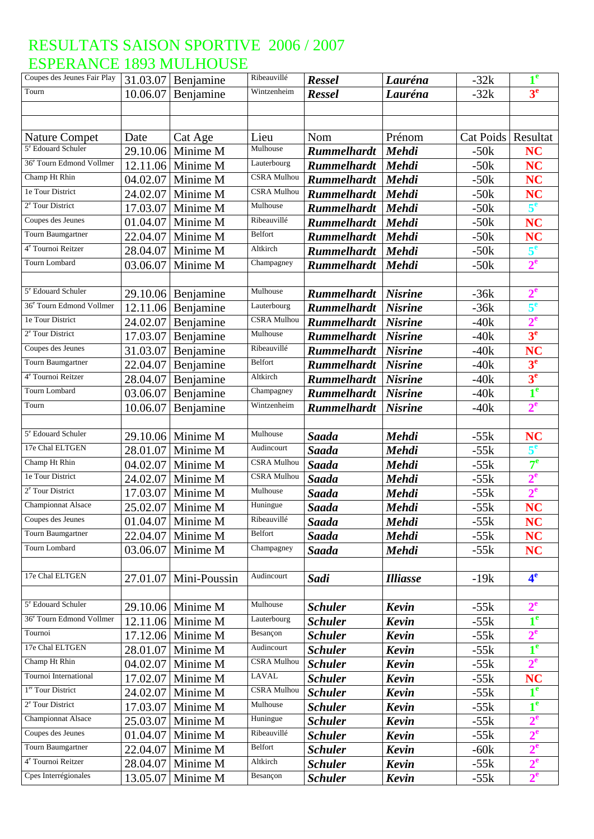| Coupes des Jeunes Fair Play          | 31.03.07             | Benjamine            | Ribeauvillé        | Ressel                           | Lauréna         | $-32k$               | $1^e$                       |
|--------------------------------------|----------------------|----------------------|--------------------|----------------------------------|-----------------|----------------------|-----------------------------|
| Tourn                                | 10.06.07             | Benjamine            | Wintzenheim        | <b>Ressel</b>                    | Lauréna         | $-32k$               | 3 <sup>e</sup>              |
|                                      |                      |                      |                    |                                  |                 |                      |                             |
|                                      |                      |                      |                    |                                  |                 |                      |                             |
| <b>Nature Compet</b>                 | Date                 | Cat Age              | Lieu               | Nom                              | Prénom          | Cat Poids   Resultat |                             |
| 5 <sup>e</sup> Edouard Schuler       | 29.10.06             | Minime M             | Mulhouse           | <b>Rummelhardt</b>               | <b>Mehdi</b>    | $-50k$               | <b>NC</b>                   |
| 36 <sup>e</sup> Tourn Edmond Vollmer |                      | $12.11.06$ Minime M  | Lauterbourg        | <b>Rummelhardt</b>               | <b>Mehdi</b>    | $-50k$               | <b>NC</b>                   |
| Champ Ht Rhin                        | 04.02.07             | Minime M             | <b>CSRA</b> Mulhou | <b>Rummelhardt</b>               | <b>Mehdi</b>    | $-50k$               | <b>NC</b>                   |
| 1e Tour District                     | 24.02.07             | Minime M             | <b>CSRA Mulhou</b> | <b>Rummelhardt</b>               | <b>Mehdi</b>    | $-50k$               | <b>NC</b>                   |
| 2 <sup>e</sup> Tour District         | 17.03.07             | Minime M             | Mulhouse           | <b>Rummelhardt</b>               | Mehdi           | $-50k$               | 5 <sup>e</sup>              |
| Coupes des Jeunes                    | 01.04.07             | Minime M             | Ribeauvillé        | <b>Rummelhardt</b>               | <b>Mehdi</b>    | $-50k$               | <b>NC</b>                   |
| Tourn Baumgartner                    | 22.04.07             | Minime M             | Belfort            | <b>Rummelhardt</b>               | <b>Mehdi</b>    | $-50k$               | <b>NC</b>                   |
| 4 <sup>e</sup> Tournoi Reitzer       | 28.04.07             | Minime M             | Altkirch           | <b>Rummelhardt</b>               | <b>Mehdi</b>    | $-50k$               | 5 <sup>e</sup>              |
| Tourn Lombard                        | 03.06.07             | Minime M             | Champagney         | <b>Rummelhardt</b>               | Mehdi           | $-50k$               | $2^e$                       |
|                                      |                      |                      |                    |                                  |                 |                      |                             |
| 5 <sup>e</sup> Edouard Schuler       |                      | $29.10.06$ Benjamine | Mulhouse           | <b>Rummelhardt</b>               | <b>Nisrine</b>  | $-36k$               | $2^e$                       |
| 36 <sup>e</sup> Tourn Edmond Vollmer | 12.11.06             | Benjamine            | Lauterbourg        | <b>Rummelhardt</b>               | <b>Nisrine</b>  | $-36k$               | 5 <sup>e</sup>              |
| 1e Tour District                     | 24.02.07             | Benjamine            | <b>CSRA</b> Mulhou | <b>Rummelhardt</b>               | <b>Nisrine</b>  | $-40k$               | $2^e$                       |
| 2 <sup>e</sup> Tour District         | 17.03.07             | Benjamine            | Mulhouse           | <b>Rummelhardt</b>               | <b>Nisrine</b>  | $-40k$               | 3 <sup>e</sup>              |
| Coupes des Jeunes                    | 31.03.07             | Benjamine            | Ribeauvillé        | <b>Rummelhardt</b>               | <b>Nisrine</b>  | $-40k$               | <b>NC</b>                   |
| Tourn Baumgartner                    | 22.04.07             | Benjamine            | Belfort            | <b>Rummelhardt</b>               | <b>Nisrine</b>  | $-40k$               | 3 <sup>e</sup>              |
| 4 <sup>e</sup> Tournoi Reitzer       | 28.04.07             | Benjamine            | Altkirch           | <b>Rummelhardt</b>               | <b>Nisrine</b>  | $-40k$               | 3 <sup>e</sup>              |
| Tourn Lombard                        | 03.06.07             | Benjamine            | Champagney         | <b>Rummelhardt</b>               | <b>Nisrine</b>  | $-40k$               | 1 <sup>e</sup>              |
| Tourn                                | 10.06.07             | Benjamine            | Wintzenheim        | <b>Rummelhardt</b>               | <b>Nisrine</b>  | $-40k$               | $2^e$                       |
|                                      |                      |                      |                    |                                  |                 |                      |                             |
| 5 <sup>e</sup> Edouard Schuler       |                      | 29.10.06 Minime M    | Mulhouse           | Saada                            | <b>Mehdi</b>    | $-55k$               | <b>NC</b>                   |
| 17e Chal ELTGEN                      | 28.01.07             | Minime M             | Audincourt         | <b>Saada</b>                     | <b>Mehdi</b>    | $-55k$               | 5 <sup>e</sup>              |
| Champ Ht Rhin                        | 04.02.07             | Minime M             | <b>CSRA</b> Mulhou | Saada                            | <b>Mehdi</b>    | $-55k$               | $7^{\circ}$                 |
| 1e Tour District                     | 24.02.07             | Minime M             | <b>CSRA Mulhou</b> | Saada                            | <b>Mehdi</b>    | $-55k$               | $2^e$                       |
| 2 <sup>e</sup> Tour District         | 17.03.07             | Minime M             | Mulhouse           | Saada                            | <b>Mehdi</b>    | $-55k$               | 2 <sup>e</sup>              |
| <b>Championnat Alsace</b>            | 25.02.07             | Minime M             | Huningue           | Saada                            | Mehdi           | $-55k$               | <b>NC</b>                   |
| Coupes des Jeunes                    |                      | 01.04.07 Minime M    | Ribeauvillé        | <b>Saada</b>                     | Mehdi           | $-55k$               | <b>NC</b>                   |
| Tourn Baumgartner                    | 22.04.07             | Minime M             | Belfort            | <b>Saada</b>                     | <b>Mehdi</b>    | $-55k$               | <b>NC</b>                   |
| <b>Tourn Lombard</b>                 | 03.06.07             | Minime M             | Champagney         | Saada                            | <b>Mehdi</b>    | $-55k$               | <b>NC</b>                   |
|                                      |                      |                      |                    |                                  |                 |                      |                             |
| 17e Chal ELTGEN                      | 27.01.07             | Mini-Poussin         | Audincourt         | Sadi                             | <b>Illiasse</b> | $-19k$               | 4 <sup>e</sup>              |
|                                      |                      |                      |                    |                                  |                 |                      |                             |
| 5 <sup>e</sup> Edouard Schuler       |                      | 29.10.06 Minime M    | Mulhouse           | <b>Schuler</b>                   | Kevin           | $-55k$               | $2^e$                       |
| 36 <sup>e</sup> Tourn Edmond Vollmer |                      | $12.11.06$ Minime M  | Lauterbourg        | <b>Schuler</b>                   | Kevin           | $-55k$               | 1 <sup>e</sup>              |
| Tournoi                              |                      | 17.12.06 Minime M    | Besançon           | <b>Schuler</b>                   | Kevin           | $-55k$               | $2^e$                       |
| 17e Chal ELTGEN                      |                      | Minime M             | Audincourt         | <b>Schuler</b>                   | <b>Kevin</b>    |                      | 1 <sup>e</sup>              |
| Champ Ht Rhin                        | 28.01.07<br>04.02.07 |                      | <b>CSRA Mulhou</b> | <b>Schuler</b>                   | Kevin           | $-55k$               | 2 <sup>e</sup>              |
| Tournoi International                |                      | Minime M<br>Minime M | <b>LAVAL</b>       |                                  |                 | $-55k$               |                             |
| 1 <sup>er</sup> Tour District        | 17.02.07<br>24.02.07 | Minime M             | <b>CSRA</b> Mulhou | <b>Schuler</b><br><b>Schuler</b> | Kevin<br>Kevin  | $-55k$               | <b>NC</b><br>1 <sup>e</sup> |
| <sup>2e</sup> Tour District          |                      |                      | Mulhouse           |                                  |                 | $-55k$               | 1 <sup>e</sup>              |
| Championnat Alsace                   | 17.03.07             | Minime M             | Huningue           | <b>Schuler</b>                   | Kevin           | $-55k$               |                             |
| Coupes des Jeunes                    | 25.03.07             | Minime M             | Ribeauvillé        | <b>Schuler</b>                   | Kevin           | $-55k$               | $2^e$                       |
| Tourn Baumgartner                    | 01.04.07             | Minime M             | Belfort            | <b>Schuler</b>                   | Kevin           | $-55k$               | $2^e$                       |
| 4 <sup>e</sup> Tournoi Reitzer       | 22.04.07             | Minime M             | Altkirch           | <b>Schuler</b>                   | Kevin           | $-60k$               | $2^e$                       |
| Cpes Interrégionales                 | 28.04.07             | Minime M             |                    | <b>Schuler</b>                   | Kevin           | $-55k$               | $2^e$                       |
|                                      | 13.05.07             | Minime M             | Besançon           | <b>Schuler</b>                   | Kevin           | $-55k$               | $2^e$                       |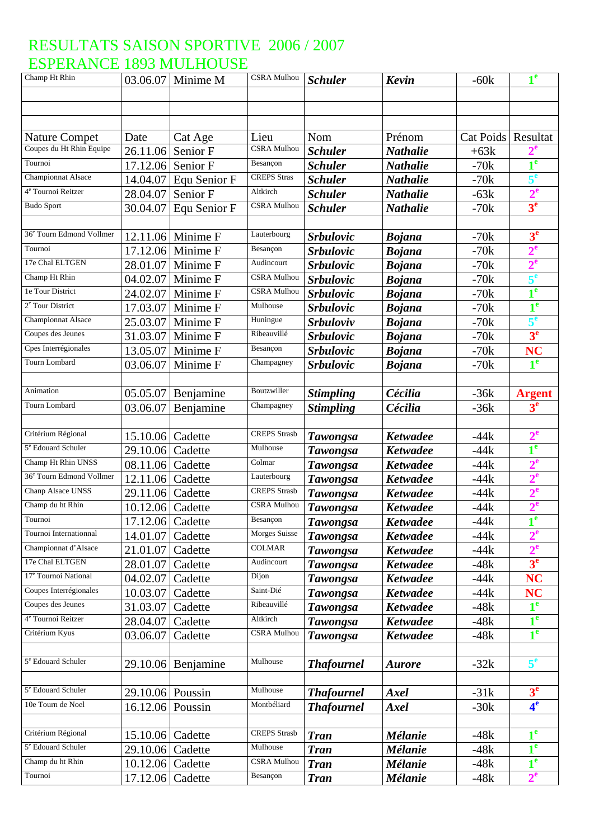| Champ Ht Rhin                        |                  | 03.06.07 Minime M | <b>CSRA</b> Mulhou  | <b>Schuler</b>    | <b>Kevin</b>    | $-60k$               | 1 <sup>e</sup>            |
|--------------------------------------|------------------|-------------------|---------------------|-------------------|-----------------|----------------------|---------------------------|
|                                      |                  |                   |                     |                   |                 |                      |                           |
|                                      |                  |                   |                     |                   |                 |                      |                           |
|                                      |                  |                   |                     |                   |                 |                      |                           |
| <b>Nature Compet</b>                 | Date             | Cat Age           | Lieu                | Nom               | Prénom          | Cat Poids   Resultat |                           |
| Coupes du Ht Rhin Equipe             | 26.11.06         | Senior F          | <b>CSRA</b> Mulhou  | <b>Schuler</b>    | <b>Nathalie</b> | $+63k$               |                           |
| Tournoi                              | 17.12.06         | Senior F          | Besançon            | <b>Schuler</b>    | <b>Nathalie</b> | $-70k$               | $1^e$                     |
| <b>Championnat Alsace</b>            | 14.04.07         | Equ Senior F      | <b>CREPS</b> Stras  | <b>Schuler</b>    | <b>Nathalie</b> | $-70k$               | $5^e$                     |
| 4 <sup>e</sup> Tournoi Reitzer       | 28.04.07         | Senior F          | Altkirch            | <b>Schuler</b>    | <b>Nathalie</b> | $-63k$               | $2^e$                     |
| <b>Budo Sport</b>                    | 30.04.07         | Equ Senior F      | <b>CSRA Mulhou</b>  | <b>Schuler</b>    | <b>Nathalie</b> | $-70k$               | 3 <sup>e</sup>            |
|                                      |                  |                   |                     |                   |                 |                      |                           |
| 36 <sup>e</sup> Tourn Edmond Vollmer |                  | 12.11.06 Minime F | Lauterbourg         | <b>Srbulovic</b>  | <b>Bojana</b>   | $-70k$               | 3 <sup>e</sup>            |
| Tournoi                              | 17.12.06         | Minime F          | Besançon            | <b>Srbulovic</b>  | <b>Bojana</b>   | $-70k$               | $2^e$                     |
| 17e Chal ELTGEN                      | 28.01.07         | Minime F          | Audincourt          | <b>Srbulovic</b>  | <b>Bojana</b>   | $-70k$               | $2^e$                     |
| Champ Ht Rhin                        | 04.02.07         | Minime F          | <b>CSRA Mulhou</b>  | <b>Srbulovic</b>  | <b>Bojana</b>   | $-70k$               | 5 <sup>e</sup>            |
| le Tour District                     | 24.02.07         | Minime F          | <b>CSRA Mulhou</b>  | <b>Srbulovic</b>  | <b>Bojana</b>   | $-70k$               | 1 <sup>e</sup>            |
| 2 <sup>e</sup> Tour District         | 17.03.07         | Minime F          | Mulhouse            | <b>Srbulovic</b>  | <b>Bojana</b>   | $-70k$               | 1 <sup>e</sup>            |
| <b>Championnat Alsace</b>            | 25.03.07         | Minime F          | Huningue            | <b>Srbuloviv</b>  | <b>Bojana</b>   | $-70k$               | 5 <sup>e</sup>            |
| Coupes des Jeunes                    | 31.03.07         | Minime F          | Ribeauvillé         | <b>Srbulovic</b>  | <b>Bojana</b>   | $-70k$               | 3 <sup>e</sup>            |
| Cpes Interrégionales                 | 13.05.07         | Minime F          | Besançon            | <b>Srbulovic</b>  | <b>Bojana</b>   | $-70k$               | <b>NC</b>                 |
| <b>Tourn Lombard</b>                 | 03.06.07         | Minime F          | Champagney          | <b>Srbulovic</b>  | <b>Bojana</b>   | $-70k$               | 1 <sup>e</sup>            |
|                                      |                  |                   |                     |                   |                 |                      |                           |
| Animation                            | 05.05.07         | Benjamine         | Boutzwiller         | <b>Stimpling</b>  | Cécilia         | $-36k$               | <b>Argent</b>             |
| Tourn Lombard                        | 03.06.07         | Benjamine         | Champagney          | <b>Stimpling</b>  | Cécilia         | $-36k$               | 3 <sup>e</sup>            |
|                                      |                  |                   |                     |                   |                 |                      |                           |
| Critérium Régional                   | 15.10.06         | Cadette           | <b>CREPS</b> Strasb | <b>Tawongsa</b>   | <b>Ketwadee</b> | $-44k$               | $2^e$                     |
| 5 <sup>e</sup> Edouard Schuler       | 29.10.06         | Cadette           | Mulhouse            | <b>Tawongsa</b>   | <b>Ketwadee</b> | $-44k$               | 1 <sup>e</sup>            |
| Champ Ht Rhin UNSS                   | 08.11.06         | Cadette           | Colmar              | <b>Tawongsa</b>   | <b>Ketwadee</b> | $-44k$               | $2^e$                     |
| 36 <sup>e</sup> Tourn Edmond Vollmer | 12.11.06         | Cadette           | Lauterbourg         | <b>Tawongsa</b>   | <b>Ketwadee</b> | $-44k$               | $2^e$                     |
| Chanp Alsace UNSS                    | 29.11.06         | Cadette           | <b>CREPS</b> Strasb | <b>Tawongsa</b>   | <b>Ketwadee</b> | $-44k$               | 2 <sup>e</sup>            |
| Champ du ht Rhin                     | 10.12.06 Cadette |                   | <b>CSRA Mulhou</b>  | <b>Tawongsa</b>   | <b>Ketwadee</b> | $-44k$               | $2^e$                     |
| Tournoi                              | 17.12.06 Cadette |                   | Besançon            | <b>Tawongsa</b>   | <b>Ketwadee</b> | $-44k$               | $\blacksquare$<br>T       |
| Tournoi Internationnal               | 14.01.07         | Cadette           | Morges Suisse       | <b>Tawongsa</b>   | <b>Ketwadee</b> | $-44k$               | $2^{\mathrm{e}}$          |
| Championnat d'Alsace                 | 21.01.07         | Cadette           | <b>COLMAR</b>       | <b>Tawongsa</b>   | <b>Ketwadee</b> | $-44k$               | $2^e$                     |
| 17e Chal ELTGEN                      | 28.01.07         | Cadette           | Audincourt          | <b>Tawongsa</b>   | <b>Ketwadee</b> | $-48k$               | 3 <sup>e</sup>            |
| 17 <sup>e</sup> Tournoi National     | 04.02.07         | Cadette           | Dijon               | <b>Tawongsa</b>   | <b>Ketwadee</b> | $-44k$               | <b>NC</b>                 |
| Coupes Interrégionales               | 10.03.07         | Cadette           | Saint-Dié           | <b>Tawongsa</b>   | <b>Ketwadee</b> | $-44k$               | <b>NC</b>                 |
| Coupes des Jeunes                    | 31.03.07         | Cadette           | Ribeauvillé         | <b>Tawongsa</b>   | <b>Ketwadee</b> | $-48k$               | $\overline{\mathbf{1}^e}$ |
| 4 <sup>e</sup> Tournoi Reitzer       | 28.04.07         | Cadette           | Altkirch            | <b>Tawongsa</b>   | <b>Ketwadee</b> | $-48k$               | 1 <sup>e</sup>            |
| Critérium Kyus                       | 03.06.07         | Cadette           | <b>CSRA Mulhou</b>  | <b>Tawongsa</b>   | <b>Ketwadee</b> | $-48k$               | 1 <sup>e</sup>            |
|                                      |                  |                   |                     |                   |                 |                      |                           |
| 5 <sup>e</sup> Edouard Schuler       | 29.10.06         | Benjamine         | Mulhouse            | <b>Thafournel</b> | <b>Aurore</b>   | $-32k$               | 5 <sup>e</sup>            |
|                                      |                  |                   |                     |                   |                 |                      |                           |
| 5 <sup>e</sup> Edouard Schuler       | 29.10.06 Poussin |                   | Mulhouse            | <b>Thafournel</b> | Axel            | $-31k$               | 3 <sup>e</sup>            |
| 10e Tourn de Noel                    | 16.12.06 Poussin |                   | Montbéliard         | <b>Thafournel</b> | Axel            | $-30k$               | 4 <sup>e</sup>            |
|                                      |                  |                   |                     |                   |                 |                      |                           |
| Critérium Régional                   | 15.10.06         | Cadette           | <b>CREPS</b> Strasb | <b>Tran</b>       | <b>Mélanie</b>  | $-48k$               | 1 <sup>e</sup>            |
| 5 <sup>e</sup> Edouard Schuler       | 29.10.06 Cadette |                   | Mulhouse            | <b>Tran</b>       | <b>Mélanie</b>  | $-48k$               | 1 <sup>e</sup>            |
| Champ du ht Rhin                     | 10.12.06 Cadette |                   | <b>CSRA Mulhou</b>  | <b>Tran</b>       | <b>Mélanie</b>  | $-48k$               | 1 <sup>e</sup>            |
| Tournoi                              | 17.12.06         | Cadette           | Besançon            | <b>Tran</b>       | <b>Mélanie</b>  | $-48k$               | $2^e$                     |
|                                      |                  |                   |                     |                   |                 |                      |                           |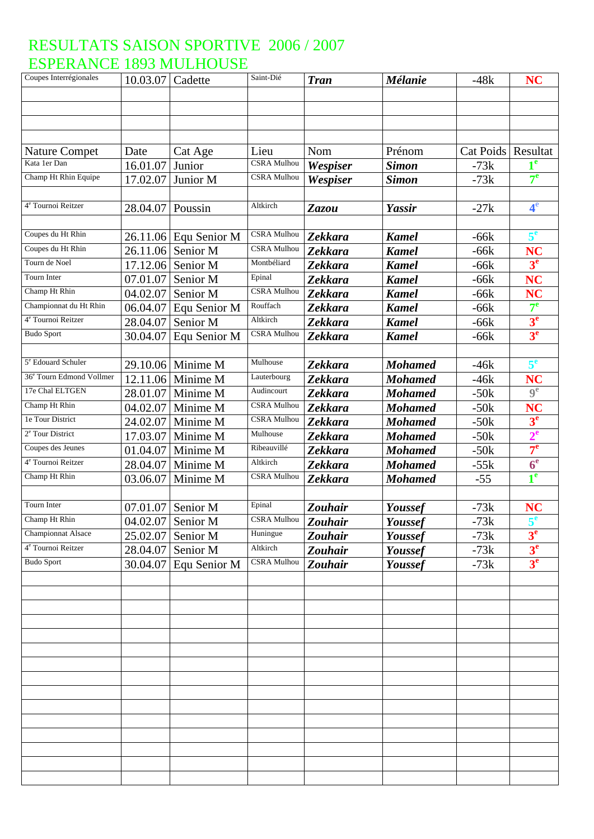| Coupes Interrégionales               | 10.03.07 Cadette |                         | Saint-Dié          | <b>Tran</b>    | <b>Mélanie</b> | $-48k$    | <b>NC</b>        |
|--------------------------------------|------------------|-------------------------|--------------------|----------------|----------------|-----------|------------------|
|                                      |                  |                         |                    |                |                |           |                  |
|                                      |                  |                         |                    |                |                |           |                  |
|                                      |                  |                         |                    |                |                |           |                  |
|                                      |                  |                         |                    |                |                |           |                  |
| <b>Nature Compet</b>                 | Date             | Cat Age                 | Lieu               | Nom            | Prénom         | Cat Poids | Resultat         |
| Kata 1er Dan                         | 16.01.07         | Junior                  | <b>CSRA</b> Mulhou | Wespiser       | <b>Simon</b>   | $-73k$    | 1 <sup>e</sup>   |
| Champ Ht Rhin Equipe                 | 17.02.07         | Junior M                | <b>CSRA Mulhou</b> | Wespiser       | <b>Simon</b>   | $-73k$    | $7^e$            |
|                                      |                  |                         |                    |                |                |           |                  |
| 4 <sup>e</sup> Tournoi Reitzer       | 28.04.07         | Poussin                 | Altkirch           | Zazou          | Yassir         | $-27k$    | 4 <sup>e</sup>   |
|                                      |                  |                         |                    |                |                |           |                  |
| Coupes du Ht Rhin                    |                  | $26.11.06$ Equ Senior M | <b>CSRA Mulhou</b> | <b>Zekkara</b> | <b>Kamel</b>   | $-66k$    | 5 <sup>e</sup>   |
| Coupes du Ht Rhin                    | 26.11.06         | Senior M                | <b>CSRA Mulhou</b> | <b>Zekkara</b> | <b>Kamel</b>   | $-66k$    | <b>NC</b>        |
| Tourn de Noel                        | 17.12.06         | Senior M                | Montbéliard        | Zekkara        | <b>Kamel</b>   | $-66k$    | 3 <sup>e</sup>   |
| Tourn Inter                          | 07.01.07         | Senior M                | Epinal             | <b>Zekkara</b> | <b>Kamel</b>   | $-66k$    | <b>NC</b>        |
| Champ Ht Rhin                        | 04.02.07         | Senior M                | <b>CSRA</b> Mulhou | <b>Zekkara</b> | <b>Kamel</b>   | $-66k$    | <b>NC</b>        |
| Championnat du Ht Rhin               | 06.04.07         | Equ Senior M            | Rouffach           | Zekkara        | <b>Kamel</b>   | -66k      | $7^e$            |
| 4 <sup>e</sup> Tournoi Reitzer       | 28.04.07         | Senior M                | Altkirch           | <b>Zekkara</b> | <b>Kamel</b>   | $-66k$    | 3 <sup>e</sup>   |
| <b>Budo Sport</b>                    | 30.04.07         | Equ Senior M            | <b>CSRA Mulhou</b> | <b>Zekkara</b> | <b>Kamel</b>   | $-66k$    | 3 <sup>e</sup>   |
|                                      |                  |                         |                    |                |                |           |                  |
| 5 <sup>e</sup> Edouard Schuler       |                  | 29.10.06 Minime M       | Mulhouse           | <b>Zekkara</b> | <b>Mohamed</b> | $-46k$    | 5 <sup>e</sup>   |
| 36 <sup>e</sup> Tourn Edmond Vollmer |                  | $12.11.06$ Minime M     | Lauterbourg        | <b>Zekkara</b> | <b>Mohamed</b> | $-46k$    | <b>NC</b>        |
| 17e Chal ELTGEN                      | 28.01.07         | Minime M                | Audincourt         | <b>Zekkara</b> | <b>Mohamed</b> | $-50k$    | 9 <sup>e</sup>   |
| Champ Ht Rhin                        | 04.02.07         | Minime M                | <b>CSRA Mulhou</b> | <b>Zekkara</b> | <b>Mohamed</b> | $-50k$    | NC               |
| 1e Tour District                     | 24.02.07         | Minime M                | <b>CSRA</b> Mulhou | <b>Zekkara</b> | <b>Mohamed</b> | $-50k$    | 3 <sup>e</sup>   |
| 2 <sup>e</sup> Tour District         | 17.03.07         | Minime M                | Mulhouse           | Zekkara        | <b>Mohamed</b> | $-50k$    | $2^e$            |
| Coupes des Jeunes                    | 01.04.07         | Minime M                | Ribeauvillé        | <b>Zekkara</b> | <b>Mohamed</b> | $-50k$    | 7 <sup>e</sup>   |
| 4 <sup>e</sup> Tournoi Reitzer       | 28.04.07         | Minime M                | Altkirch           | <b>Zekkara</b> | <b>Mohamed</b> | $-55k$    | $\overline{6}^e$ |
| Champ Ht Rhin                        | 03.06.07         | Minime M                | <b>CSRA Mulhou</b> | <b>Zekkara</b> | <b>Mohamed</b> | $-55$     | 1 <sup>e</sup>   |
|                                      |                  |                         |                    |                |                |           |                  |
| Tourn Inter                          | 07.01.07         | Senior M                | Epinal             | <b>Zouhair</b> | Youssef        | $-73k$    | <b>NC</b>        |
| Champ Ht Rhin                        | 04.02.07         | Senior M                | <b>CSRA Mulhou</b> | Zouhair        | Youssef        | $-73k$    |                  |
| <b>Championnat Alsace</b>            | 25.02.07         | Senior M                | Huningue           | Zouhair        | Youssef        | $-73k$    | 3 <sup>e</sup>   |
| 4 <sup>e</sup> Tournoi Reitzer       | 28.04.07         | Senior M                | Altkirch           | Zouhair        | Youssef        | $-73k$    | 3 <sup>e</sup>   |
| <b>Budo Sport</b>                    | 30.04.07         | Equ Senior M            | <b>CSRA</b> Mulhou | <b>Zouhair</b> | Youssef        | $-73k$    | 3 <sup>e</sup>   |
|                                      |                  |                         |                    |                |                |           |                  |
|                                      |                  |                         |                    |                |                |           |                  |
|                                      |                  |                         |                    |                |                |           |                  |
|                                      |                  |                         |                    |                |                |           |                  |
|                                      |                  |                         |                    |                |                |           |                  |
|                                      |                  |                         |                    |                |                |           |                  |
|                                      |                  |                         |                    |                |                |           |                  |
|                                      |                  |                         |                    |                |                |           |                  |
|                                      |                  |                         |                    |                |                |           |                  |
|                                      |                  |                         |                    |                |                |           |                  |
|                                      |                  |                         |                    |                |                |           |                  |
|                                      |                  |                         |                    |                |                |           |                  |
|                                      |                  |                         |                    |                |                |           |                  |
|                                      |                  |                         |                    |                |                |           |                  |
|                                      |                  |                         |                    |                |                |           |                  |